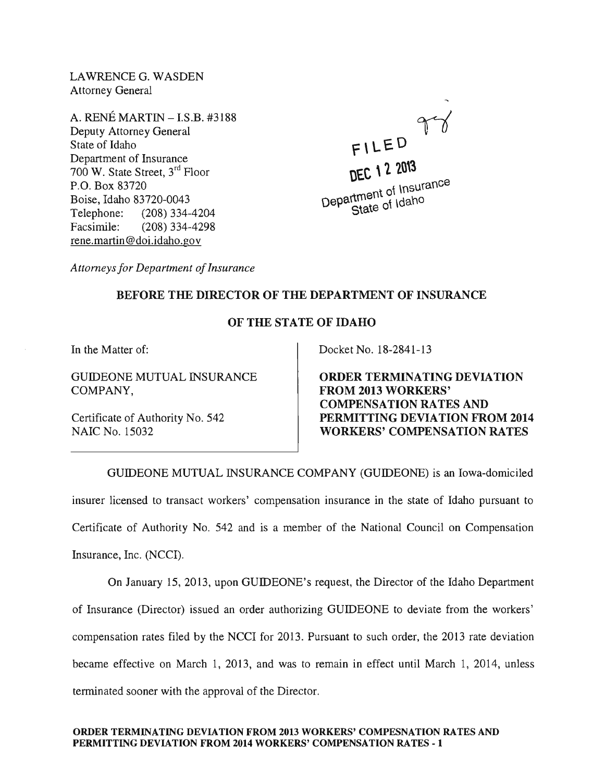LAWRENCE G. WASDEN Attorney General

A. RENÉ MARTIN – I.S.B. #3188 Deputy Attorney General State of Idaho Department of Insurance 700 W. State Street, 3rd Floor P.O. Box 83720 Boise, Idaho 83720-0043 Telephone: (208) 334-4204 Facsimile: (208) 334-4298 rene.martin@doi.idaho.gov

F\ LEO DEC 12 2013  $\frac{1}{1}$  of Insurance Department of library State of Idaho

*Attorneys for Department of Insurance* 

## BEFORE THE DIRECTOR OF THE DEPARTMENT OF INSURANCE

## OF THE STATE OF IDAHO

In the Matter of:

GUIDEONE MUTUAL INSURANCE COMPANY,

Certificate of Authority No. 542 NAIC No. 15032

Docket No. 18-2841-13

ORDER TERMINATING DEVIATION FROM 2013 WORKERS' COMPENSATION RATES AND PERMITTING DEVIATION FROM 2014 WORKERS' COMPENSATION RATES

GUIDEONE MUTUAL INSURANCE COMPANY (GUIDEONE) is an Iowa-domiciled insurer licensed to transact workers' compensation insurance in the state of Idaho pursuant to Certificate of Authority No. 542 and is a member of the National Council on Compensation Insurance, Inc. (NCCI).

On January 15, 2013, upon GUIDEONE's request, the Director of the Idaho Department of Insurance (Director) issued an order authorizing GUIDEONE to deviate from the workers' compensation rates filed by the NCCI for 2013. Pursuant to such order, the 2013 rate deviation became effective on March 1, 2013, and was to remain in effect until March 1, 2014, unless terminated sooner with the approval of the Director.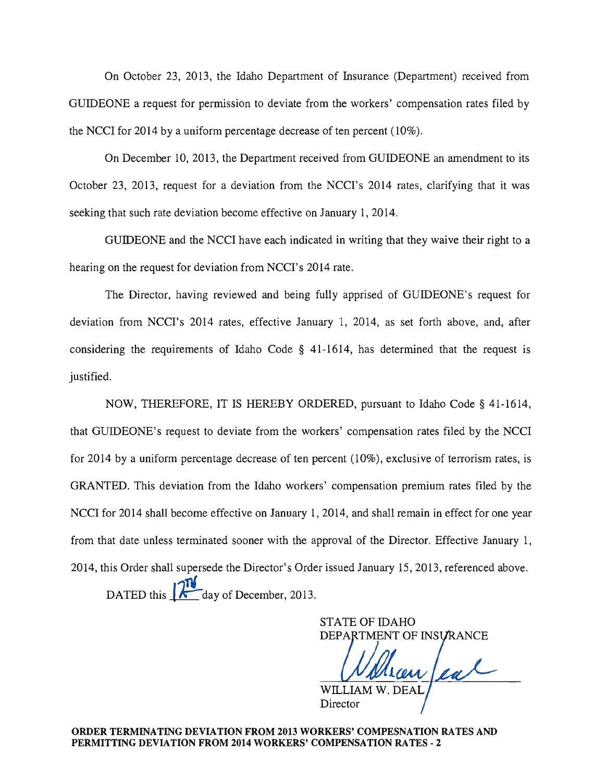On October 23, 2013, the Idaho Department of Insurance (Department) received from GUIDEONE a request for permission to deviate from the workers' compensation rates filed by the NCCI for 2014 by a uniform percentage decrease of ten percent (10%).

On December 10,2013, the Department received from GUIDEONE an amendment to its October 23, 2013, request for a deviation from the NCCI's 2014 rates, clarifying that it was seeking that such rate deviation become effective on January 1, 2014.

GUIDEONE and the NCCI have each indicated in writing that they waive their right to a hearing on the request for deviation from NCCI's 2014 rate.

The Director, having reviewed and being fully apprised of GUIDEONE's request for deviation from NCCI's 2014 rates, effective January 1, 2014, as set forth above, and, after considering the requirements of Idaho Code § 41-1614, has determined that the request is justified.

NOW, THEREFORE, IT IS HEREBY ORDERED, pursuant to Idaho Code § 41-1614, that GUIDEONE's request to deviate from the workers' compensation rates filed by the NCCI for 2014 by a uniform percentage decrease of ten percent (10%), exclusive of terrorism rates, is GRANTED. This deviation from the Idaho workers' compensation premium rates filed by the NCCI for 2014 shall become effective on January 1, 2014, and shall remain in effect for one year from that date unless terminated sooner with the approval of the Director. Effective January 1, 2014, this Order shall supersede the Director's Order issued January 15,2013, referenced above. DATED this  $\int \sqrt{a} \, d$  day of December, 2013.

STATE OF IDAHO DEPARTMENT OF INSURANCE anteal

WILLIAM W. DEAL **Director**